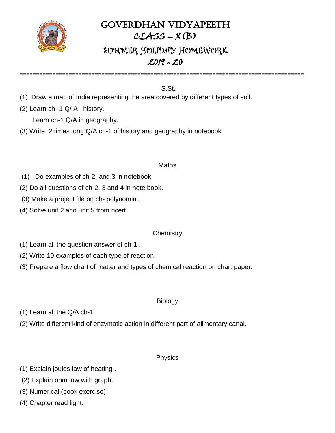

## GOVERDHAN VIDYAPEETH  $CLASS-X(B)$

# SUMMER HOLIDAY HOMEWORK 2019 - 20

**=======================================================================================**

#### S.St.

- (1) Draw a map of India representing the area covered by different types of soil.
- (2) Learn ch -1 Q/ A history.

Learn ch-1 Q/A in geography.

(3) Write 2 times long Q/A ch-1 of history and geography in notebook

#### Maths

- (1) Do examples of ch-2, and 3 in notebook.
- (2) Do all questions of ch-2, 3 and 4 in note book.
- (3) Make a project file on ch- polynomial.
- (4) Solve unit 2 and unit 5 from ncert.

#### **Chemistry**

- (1) Learn all the question answer of ch-1 .
- (2) Write 10 examples of each type of reaction.
- (3) Prepare a flow chart of matter and types of chemical reaction on chart paper.

#### Biology

- (1) Learn all the Q/A ch-1
- (2) Write different kind of enzymatic action in different part of alimentary canal.

#### Physics

- (1) Explain joules law of heating .
- (2) Explain ohm law with graph.
- (3) Numerical (book exercise)
- (4) Chapter read light.